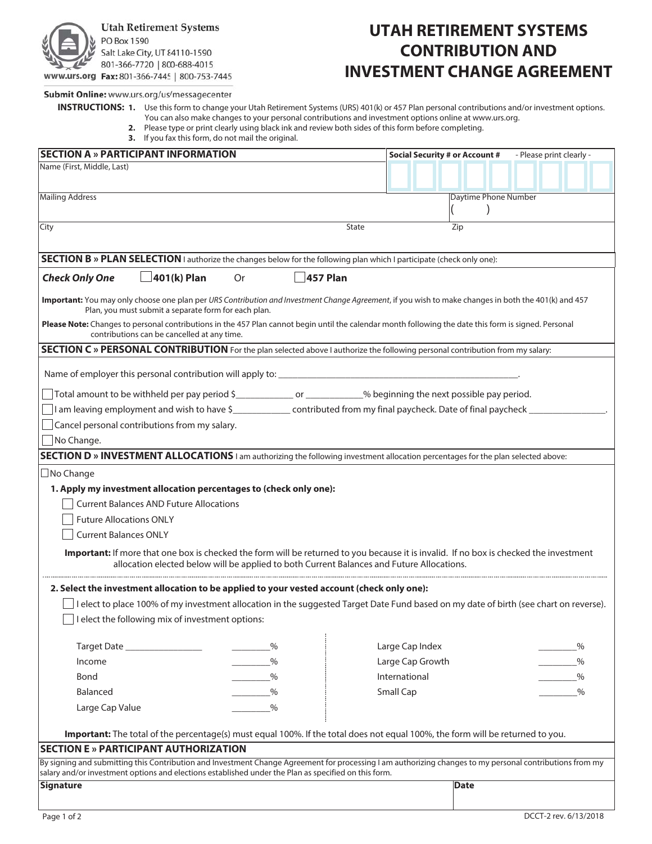

## **UTAH RETIREMENT SYSTEMS CONTRIBUTION AND INVESTMENT CHANGE AGREEMENT**

Submit Online: www.urs.org/us/messagecenter

- **INSTRUCTIONS: 1.** Use this form to change your Utah Retirement Systems (URS) 401(k) or 457 Plan personal contributions and/or investment options. You can also make changes to your personal contributions and investment options online at www.urs.org.
	- **2.** Please type or print clearly using black ink and review both sides of this form before completing.
	- **3.** If you fax this form, do not mail the original.

| <b>SECTION A » PARTICIPANT INFORMATION</b>                                                                                                                                                                                                                       | - Please print clearly -<br><b>Social Security # or Account #</b> |  |  |  |  |  |  |  |
|------------------------------------------------------------------------------------------------------------------------------------------------------------------------------------------------------------------------------------------------------------------|-------------------------------------------------------------------|--|--|--|--|--|--|--|
| Name (First, Middle, Last)                                                                                                                                                                                                                                       |                                                                   |  |  |  |  |  |  |  |
|                                                                                                                                                                                                                                                                  |                                                                   |  |  |  |  |  |  |  |
| <b>Mailing Address</b>                                                                                                                                                                                                                                           | Daytime Phone Number                                              |  |  |  |  |  |  |  |
|                                                                                                                                                                                                                                                                  |                                                                   |  |  |  |  |  |  |  |
| City<br>State                                                                                                                                                                                                                                                    | Zip                                                               |  |  |  |  |  |  |  |
|                                                                                                                                                                                                                                                                  |                                                                   |  |  |  |  |  |  |  |
| <b>SECTION B</b> » PLAN SELECTION I authorize the changes below for the following plan which I participate (check only one):                                                                                                                                     |                                                                   |  |  |  |  |  |  |  |
| <b>Check Only One</b><br>401(k) Plan<br>457 Plan<br>Or                                                                                                                                                                                                           |                                                                   |  |  |  |  |  |  |  |
| Important: You may only choose one plan per URS Contribution and Investment Change Agreement, if you wish to make changes in both the 401(k) and 457<br>Plan, you must submit a separate form for each plan.                                                     |                                                                   |  |  |  |  |  |  |  |
| Please Note: Changes to personal contributions in the 457 Plan cannot begin until the calendar month following the date this form is signed. Personal<br>contributions can be cancelled at any time.                                                             |                                                                   |  |  |  |  |  |  |  |
| SECTION C » PERSONAL CONTRIBUTION For the plan selected above I authorize the following personal contribution from my salary:                                                                                                                                    |                                                                   |  |  |  |  |  |  |  |
| Name of employer this personal contribution will apply to:                                                                                                                                                                                                       |                                                                   |  |  |  |  |  |  |  |
|                                                                                                                                                                                                                                                                  |                                                                   |  |  |  |  |  |  |  |
| Total amount to be withheld per pay period \$__________________________% beginning the next possible pay period.                                                                                                                                                 |                                                                   |  |  |  |  |  |  |  |
| I am leaving employment and wish to have \$________________ contributed from my final paycheck. Date of final paycheck_                                                                                                                                          |                                                                   |  |  |  |  |  |  |  |
| Cancel personal contributions from my salary.                                                                                                                                                                                                                    |                                                                   |  |  |  |  |  |  |  |
| No Change.                                                                                                                                                                                                                                                       |                                                                   |  |  |  |  |  |  |  |
| SECTION D » INVESTMENT ALLOCATIONS I am authorizing the following investment allocation percentages for the plan selected above:                                                                                                                                 |                                                                   |  |  |  |  |  |  |  |
| $\Box$ No Change                                                                                                                                                                                                                                                 |                                                                   |  |  |  |  |  |  |  |
| 1. Apply my investment allocation percentages to (check only one):                                                                                                                                                                                               |                                                                   |  |  |  |  |  |  |  |
| <b>Current Balances AND Future Allocations</b>                                                                                                                                                                                                                   |                                                                   |  |  |  |  |  |  |  |
| <b>Future Allocations ONLY</b>                                                                                                                                                                                                                                   |                                                                   |  |  |  |  |  |  |  |
| <b>Current Balances ONLY</b>                                                                                                                                                                                                                                     |                                                                   |  |  |  |  |  |  |  |
| Important: If more that one box is checked the form will be returned to you because it is invalid. If no box is checked the investment<br>allocation elected below will be applied to both Current Balances and Future Allocations.                              |                                                                   |  |  |  |  |  |  |  |
| 2. Select the investment allocation to be applied to your vested account (check only one):                                                                                                                                                                       |                                                                   |  |  |  |  |  |  |  |
| I lelect to place 100% of my investment allocation in the suggested Target Date Fund based on my date of birth (see chart on reverse).                                                                                                                           |                                                                   |  |  |  |  |  |  |  |
| $\Box$ I elect the following mix of investment options:                                                                                                                                                                                                          |                                                                   |  |  |  |  |  |  |  |
|                                                                                                                                                                                                                                                                  |                                                                   |  |  |  |  |  |  |  |
| Target Date __________________<br>$\%$                                                                                                                                                                                                                           | Large Cap Index<br>$\%$                                           |  |  |  |  |  |  |  |
| Income<br>$\%$                                                                                                                                                                                                                                                   | Large Cap Growth<br>$\%$                                          |  |  |  |  |  |  |  |
| Bond<br>$\%$                                                                                                                                                                                                                                                     | International<br>%                                                |  |  |  |  |  |  |  |
| Balanced<br>$\%$                                                                                                                                                                                                                                                 | Small Cap<br>$\%$                                                 |  |  |  |  |  |  |  |
| Large Cap Value<br>$\%$                                                                                                                                                                                                                                          |                                                                   |  |  |  |  |  |  |  |
|                                                                                                                                                                                                                                                                  |                                                                   |  |  |  |  |  |  |  |
| Important: The total of the percentage(s) must equal 100%. If the total does not equal 100%, the form will be returned to you.                                                                                                                                   |                                                                   |  |  |  |  |  |  |  |
| <b>SECTION E » PARTICIPANT AUTHORIZATION</b>                                                                                                                                                                                                                     |                                                                   |  |  |  |  |  |  |  |
| By signing and submitting this Contribution and Investment Change Agreement for processing I am authorizing changes to my personal contributions from my<br>salary and/or investment options and elections established under the Plan as specified on this form. |                                                                   |  |  |  |  |  |  |  |
| <b>Signature</b>                                                                                                                                                                                                                                                 | Date                                                              |  |  |  |  |  |  |  |
|                                                                                                                                                                                                                                                                  |                                                                   |  |  |  |  |  |  |  |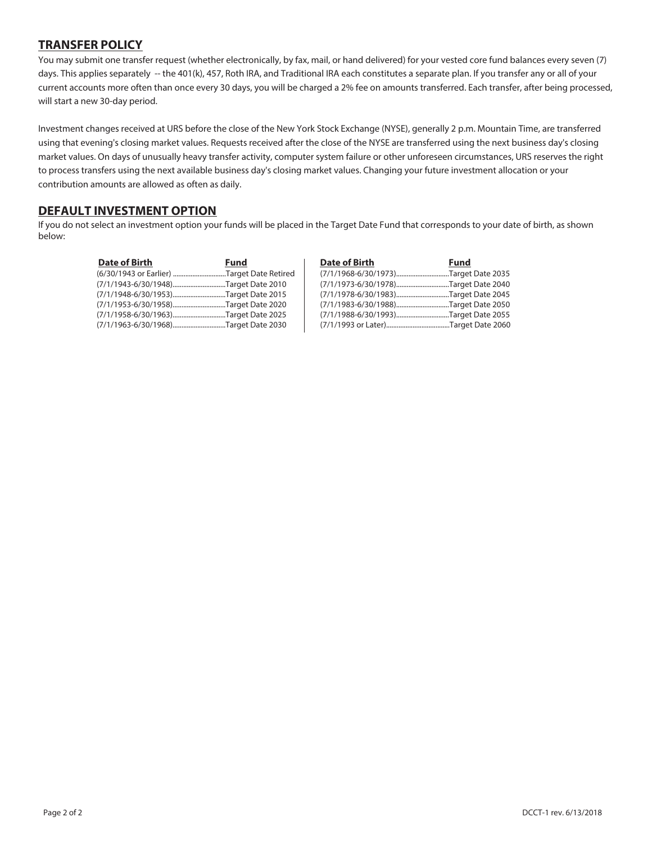#### **TRANSFER POLICY**

You may submit one transfer request (whether electronically, by fax, mail, or hand delivered) for your vested core fund balances every seven (7) days. This applies separately -- the 401(k), 457, Roth IRA, and Traditional IRA each constitutes a separate plan. If you transfer any or all of your current accounts more often than once every 30 days, you will be charged a 2% fee on amounts transferred. Each transfer, after being processed, will start a new 30-day period.

Investment changes received at URS before the close of the New York Stock Exchange (NYSE), generally 2 p.m. Mountain Time, are transferred using that evening's closing market values. Requests received after the close of the NYSE are transferred using the next business day's closing market values. On days of unusually heavy transfer activity, computer system failure or other unforeseen circumstances, URS reserves the right to process transfers using the next available business day's closing market values. Changing your future investment allocation or your contribution amounts are allowed as often as daily.

#### **DEFAULT INVESTMENT OPTION**

If you do not select an investment option your funds will be placed in the Target Date Fund that corresponds to your date of birth, as shown below:

| <b>Date of Birth</b>                       | Fund | Date of Birth | Fund                                 |
|--------------------------------------------|------|---------------|--------------------------------------|
| (6/30/1943 or Earlier) Target Date Retired |      |               | (7/1/1968-6/30/1973)Target Date 2035 |
| (7/1/1943-6/30/1948)Target Date 2010       |      |               | (7/1/1973-6/30/1978)Target Date 2040 |
| (7/1/1948-6/30/1953)Target Date 2015       |      |               | (7/1/1978-6/30/1983)Target Date 2045 |
| (7/1/1953-6/30/1958)Target Date 2020       |      |               | (7/1/1983-6/30/1988)Target Date 2050 |
| (7/1/1958-6/30/1963)Target Date 2025       |      |               | (7/1/1988-6/30/1993)Target Date 2055 |
| (7/1/1963-6/30/1968)Target Date 2030       |      |               | (7/1/1993 or Later)Target Date 2060  |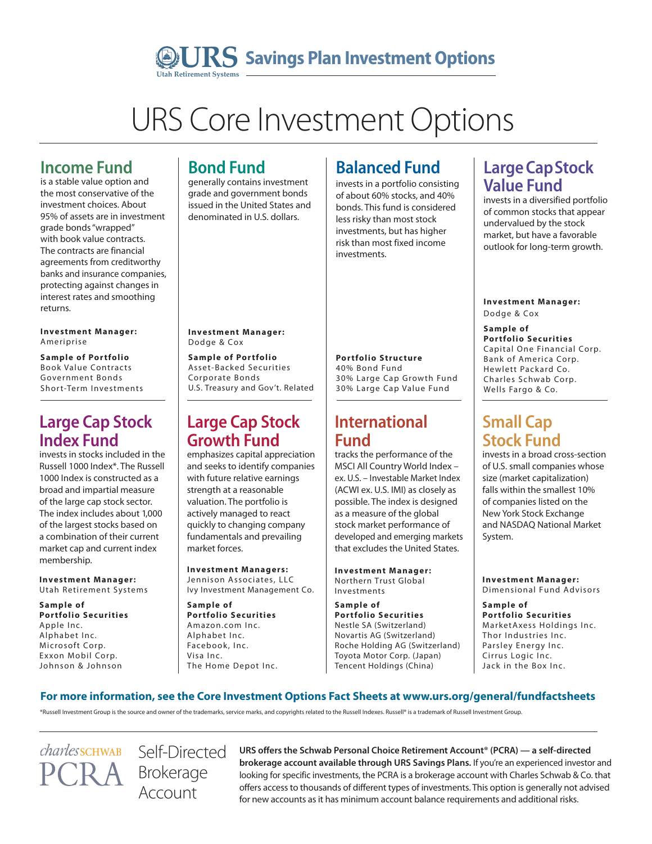## **URS** Savings Plan Investment Options **Utah Retirement Systems**

# URS Core Investment Options

# **Income Fund**

is a stable value option and the most conservative of the investment choices. About 95% of assets are in investment grade bonds "wrapped" with book value contracts. The contracts are financial agreements from creditworthy banks and insurance companies, protecting against changes in interest rates and smoothing returns.

#### **Investment Manager:** Ameriprise

**Sample of Portfolio** Book Value Contracts Government Bonds Short-Term Investments

### **Large Cap Stock Index Fund**

invests in stocks included in the Russell 1000 Index\*. The Russell 1000 Index is constructed as a broad and impartial measure of the large cap stock sector. The index includes about 1,000 of the largest stocks based on a combination of their current market cap and current index membership.

**Investment Manager:** Utah Retirement Systems

**S ample of Portfolio Securities** Apple Inc. Alphabet Inc. Microsoft Corp. Exxon Mobil Corp. Johnson & Johnson

# **Bond Fund**

generally contains investment grade and government bonds issued in the United States and denominated in U.S. dollars.

# **Balanced Fund**

invests in a portfolio consisting of about 60% stocks, and 40% bonds. This fund is considered less risky than most stock investments, but has higher risk than most fixed income investments.

#### **Large Cap Stock Value Fund** invests in a diversified portfolio

of common stocks that appear undervalued by the stock market, but have a favorable outlook for long-term growth.

**Investment Manager:** Dodge & Cox

#### **S ample of Portfolio Securities** Capital One Financial Corp. Bank of America Corp. Hewlett Packard Co. Charles Schwab Corp. Wells Fargo & Co.

## **Small Cap Stock Fund**

invests in a broad cross-section of U.S. small companies whose size (market capitalization) falls within the smallest 10% of companies listed on the New York Stock Exchange and NASDAQ National Market System.

**Investment Manager:** Dimensional Fund Advisors

**S ample of Portfolio Securities** MarketAxess Holdings Inc. Thor Industries Inc. Parsley Energy Inc. Cirrus Logic Inc. Jack in the Box Inc.

#### **Investment Manager:** Dodge & Cox

**S ample of Por tfolio**  Asset-Backed Securities Corporate Bonds U.S. Treasury and Gov't. Related

## **Large Cap Stock Growth Fund**

emphasizes capital appreciation and seeks to identify companies with future relative earnings strength at a reasonable valuation. The portfolio is actively managed to react quickly to changing company fundamentals and prevailing market forces.

#### **Investment Managers:**

Jennison Associates, LLC Ivy Investment Management Co.

**S ample of Portfolio Securities** Amazon.com Inc. Alphabet Inc. Facebook, Inc. Visa Inc. The Home Depot Inc.

### **Portfolio Structure**

40% Bond Fund 30% Large Cap Growth Fund 30% Large Cap Value Fund

## **International Fund**

tracks the performance of the MSCI All Country World Index – ex. U.S. – Investable Market Index (ACWI ex. U.S. IMI) as closely as possible. The index is designed as a measure of the global stock market performance of developed and emerging markets that excludes the United States.

**Investment Manager:** Northern Trust Global Investments

**S ample of Portfolio Securities** Nestle SA (Switzerland) Novartis AG (Switzerland) Roche Holding AG (Switzerland) Toyota Motor Corp. (Japan) Tencent Holdings (China)

#### **For more information, see the Core Investment Options Fact Sheets at www.urs.org/general/fundfactsheets**

\*Russell Investment Group is the source and owner of the trademarks, service marks, and copyrights related to the Russell Indexes. Russell® is a trademark of Russell Investment Group.

*charless*CHWAB

Self-Directed Brokerage Account

**URS offers the Schwab Personal Choice Retirement Account® (PCRA) — a self-directed brokerage account available through URS Savings Plans.** If you're an experienced investor and looking for specific investments, the PCRA is a brokerage account with Charles Schwab & Co. that offers access to thousands of different types of investments. This option is generally not advised for new accounts as it has minimum account balance requirements and additional risks.